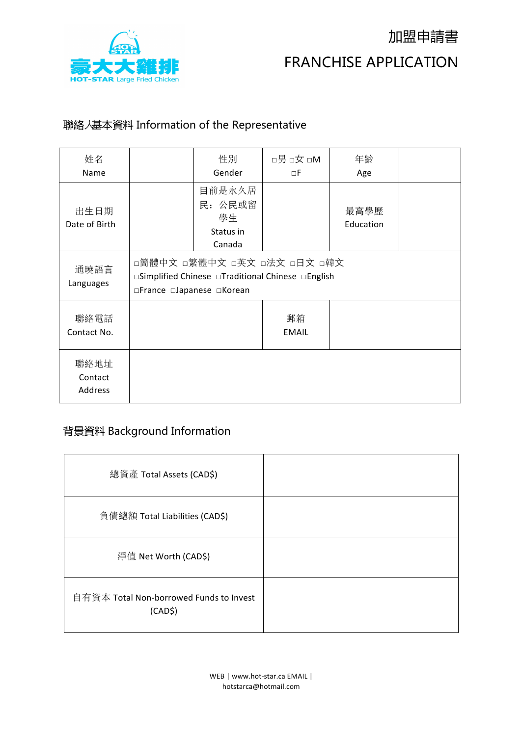

### 聯絡⼈基本資料 Information of the Representative

| 姓名<br>Name                 |                           | 性別<br>Gender                                                                     | □男□女□M<br>пF       | 年齡<br>Age         |  |
|----------------------------|---------------------------|----------------------------------------------------------------------------------|--------------------|-------------------|--|
| 出生日期<br>Date of Birth      |                           | 目前是永久居<br>民; 公民或留<br>學生<br>Status in<br>Canada                                   |                    | 最高學歷<br>Education |  |
| 通曉語言<br>Languages          | □France □Japanese □Korean | □簡體中文 □繁體中文 □英文 □法文 □日文 □韓文<br>□Simplified Chinese □Traditional Chinese □English |                    |                   |  |
| 聯絡電話<br>Contact No.        |                           |                                                                                  | 郵箱<br><b>EMAIL</b> |                   |  |
| 聯絡地址<br>Contact<br>Address |                           |                                                                                  |                    |                   |  |

### 背景資料 Background Information

| 總資產 Total Assets (CAD\$)                                       |  |
|----------------------------------------------------------------|--|
| 負債總額 Total Liabilities (CAD\$)                                 |  |
| 淨值 Net Worth (CAD\$)                                           |  |
| 自有資本 Total Non-borrowed Funds to Invest<br>(CAD <sup>2</sup> ) |  |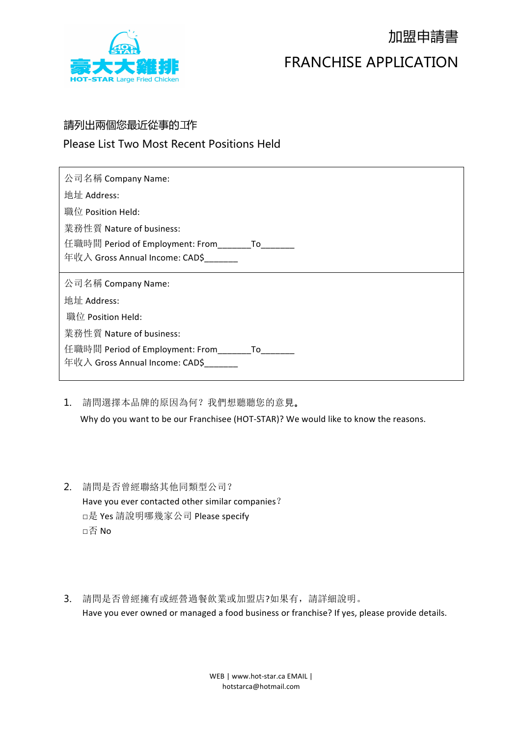

# 加盟申請書 FRANCHISE APPLICATION

#### 請列出兩個您最近從事的邛作

#### Please List Two Most Recent Positions Held

| 公司名稱 Company Name:                             |
|------------------------------------------------|
| 地址 Address:                                    |
| 職位 Position Held:                              |
| 業務性質 Nature of business:                       |
| 任職時間 Period of Employment: From_________ To___ |
| 年收入 Gross Annual Income: CAD\$                 |
|                                                |
| 公司名稱 Company Name:                             |
| 地址 Address:                                    |
| 職位 Position Held:                              |
| 業務性質 Nature of business:                       |
| 任職時間 Period of Employment: From     To         |
| 年收入 Gross Annual Income: CAD\$                 |

- 1. 請問選擇本品牌的原因為何?我們想聽聽您的意見。 Why do you want to be our Franchisee (HOT-STAR)? We would like to know the reasons.
- 2. 請問是否曾經聯絡其他同類型公司? Have you ever contacted other similar companies? □是 Yes 請說明哪幾家公司 Please specify □否 No
- 3. 請問是否曾經擁有或經營過餐飲業或加盟店?如果有,請詳細說明。 Have you ever owned or managed a food business or franchise? If yes, please provide details.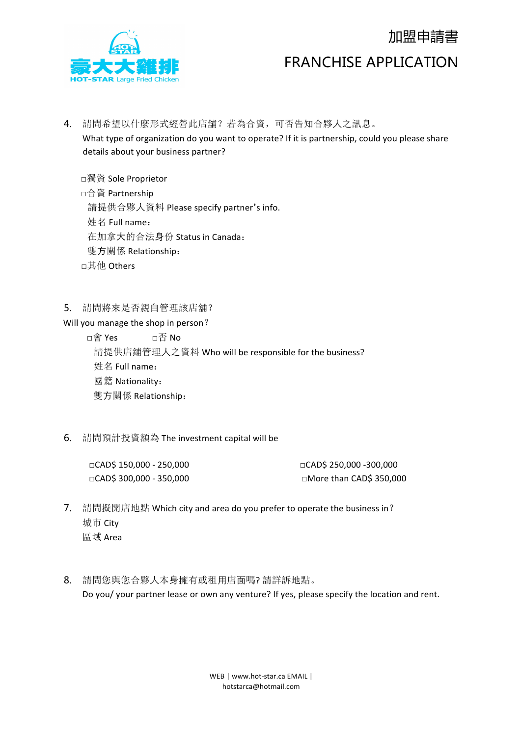

## 加盟申請書

### FRANCHISE APPLICATION

4. 請問希望以什麼形式經營此店舖?若為合資,可否告知合夥⼈之訊息。

What type of organization do you want to operate? If it is partnership, could you please share details about your business partner?

□獨資 Sole Proprietor 

□合資 Partnership

請提供合夥人資料 Please specify partner's info.

姓名 Full name:

 在加拿⼤的合法⾝份 Status in Canada:

- 雙⽅關係 Relationship:
- □其他 Others
- 5. 請問將來是否親⾃管理該店舖?

Will you manage the shop in person?

□會 Yes □否 No 請提供店鋪管理人之資料 Who will be responsible for the business? **姓名 Full name:**  國籍 Nationality: 雙⽅關係 Relationship:

6. 請問預計投資額為 The investment capital will be

 $\Box$ CAD\$ 150,000 - 250,000  $\Box$ CAD\$ 250,000 -300,000

□CAD\$ 300,000 - 350,000 □More than CAD\$ 350,000 

- 7. 請問擬開店地點 Which city and area do you prefer to operate the business in? 城市 City 區域 Area
- 8. 請問您與您合夥人本身擁有或租用店面嗎?請詳訴地點。 Do you/ your partner lease or own any venture? If yes, please specify the location and rent.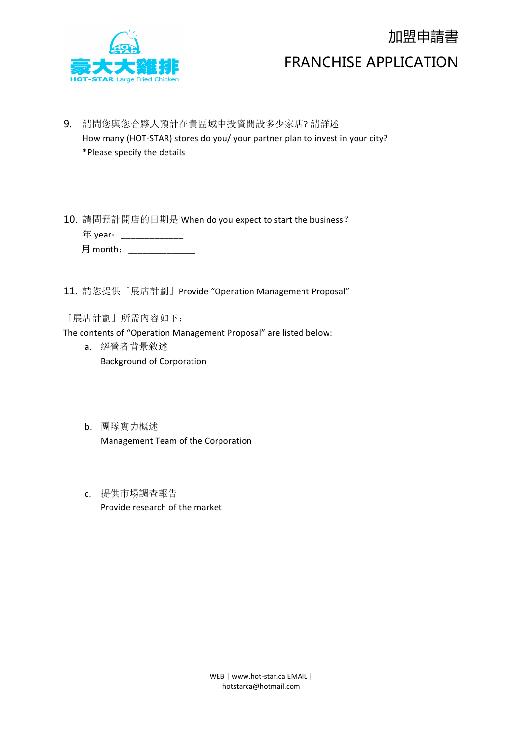

# 加盟申請書 FRANCHISE APPLICATION

- 9. 請問您與您合夥人預計在貴區域中投資開設多少家店?請詳述 How many (HOT-STAR) stores do you/ your partner plan to invest in your city? \*Please specify the details
- 10. 請問預計開店的日期是 When do you expect to start the business? 年 year:\_\_\_\_\_\_\_\_\_\_\_\_\_ 月 month: \_\_\_\_\_\_\_\_\_\_\_\_\_\_\_\_
- 11. 請您提供「展店計劃」Provide "Operation Management Proposal"

「展店計劃」所需內容如下:

The contents of "Operation Management Proposal" are listed below:

- a. 經營者背景敘述 **Background of Corporation**
- b. 團隊實力概述 Management Team of the Corporation
- c. 提供市場調查報告 Provide research of the market

WEB | www.hot-star.ca EMAIL | hotstarca@hotmail.com